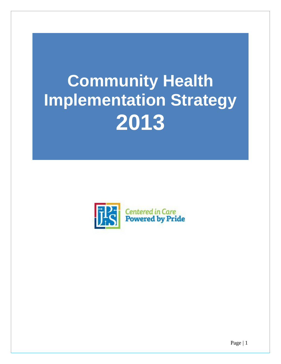# **Community Health Implementation Strategy 2013**

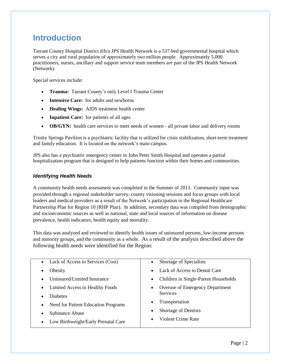#### **Introduction**

Tarrant County Hospital District d/b/a JPS Health Network is a 537-bed governmental hospital which serves a city and rural population of approximately two million people. Approximately 5,000 practitioners, nurses, ancillary and support service team members are part of the JPS Health Network (Network).

Special services include:

- **Trauma:** Tarrant County's only Level I Trauma Center
- **Intensive Care:** for adults and newborns
- **Healing Wings:** AIDS treatment health center
- **Inpatient Care:** for patients of all ages
- **OB/GYN:** health care services to meet needs of women all private labor and delivery rooms

Trinity Springs Pavilion is a psychiatric facility that is utilized for crisis stabilization, short-term treatment and family education. It is located on the network's main campus.

JPS also has a psychiatric emergency center in John Peter Smith Hospital and operates a partial hospitalization program that is designed to help patients function within their homes and communities.

#### *Identifying Health Needs*

A community health needs assessment was completed in the Summer of 2013. Community input was provided through a regional stakeholder survey, county visioning sessions and focus groups with local leaders and medical providers as a result of the Network's participation in the Regional Healthcare Partnership Plan for Region 10 (RHP Plan). In addition, secondary data was compiled from demographic and socioeconomic sources as well as national, state and local sources of information on disease prevalence, health indicators, health equity and mortality.

This data was analyzed and reviewed to identify health issues of uninsured persons, low-income persons and minority groups, and the community as a whole. As a result of the analysis described above the following health needs were identified for the Region:

| Lack of Access to Services (Cost)<br>$\bullet$   | Shortage of Specialists                |
|--------------------------------------------------|----------------------------------------|
| Obesity                                          | Lack of Access to Dental Care          |
| Uninsured/Limited Insurance                      | Children in Single-Parent Households   |
| Limited Access to Healthy Foods                  | <b>Overuse of Emergency Department</b> |
| <b>Diabetes</b>                                  | <b>Services</b>                        |
| Need for Patient Education Programs<br>$\bullet$ | Transportation<br>$\bullet$            |
| <b>Substance Abuse</b>                           | Shortage of Dentists                   |
| Low Birthweight/Early Prenatal Care<br>٠         | Violent Crime Rate                     |
|                                                  |                                        |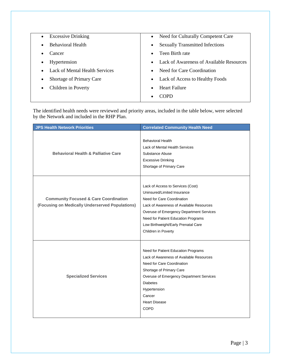| <b>Excessive Drinking</b>             | Need for Culturally Competent Care                  |
|---------------------------------------|-----------------------------------------------------|
| $\bullet$                             | $\bullet$                                           |
| <b>Behavioral Health</b>              | <b>Sexually Transmitted Infections</b><br>$\bullet$ |
| Cancer                                | Teen Birth rate<br>$\bullet$                        |
| Hypertension                          | Lack of Awareness of Available Resources            |
| ٠                                     | $\bullet$                                           |
| <b>Lack of Mental Health Services</b> | Need for Care Coordination<br>$\bullet$             |
| Shortage of Primary Care              | Lack of Access to Healthy Foods                     |
| ٠                                     | $\bullet$                                           |
| Children in Poverty                   | <b>Heart Failure</b>                                |
| ٠                                     | $\bullet$                                           |
|                                       | COPD<br>$\bullet$                                   |

The identified health needs were reviewed and priority areas, included in the table below, were selected by the Network and included in the RHP Plan.

| <b>JPS Health Network Priorities</b>                                                                | <b>Correlated Community Health Need</b>                                                                                                                                                                                                                                                     |
|-----------------------------------------------------------------------------------------------------|---------------------------------------------------------------------------------------------------------------------------------------------------------------------------------------------------------------------------------------------------------------------------------------------|
| <b>Behavioral Health &amp; Palliative Care</b>                                                      | <b>Behavioral Health</b><br>Lack of Mental Health Services<br>Substance Abuse<br><b>Excessive Drinking</b><br>Shortage of Primary Care                                                                                                                                                      |
| <b>Community Focused &amp; Care Coordination</b><br>(Focusing on Medically Underserved Populations) | Lack of Access to Services (Cost)<br>Uninsured/Limited Insurance<br>Need for Care Coordination<br>Lack of Awareness of Available Resources<br>Overuse of Emergency Department Services<br>Need for Patient Education Programs<br>Low Birthweight/Early Prenatal Care<br>Children in Poverty |
| <b>Specialized Services</b>                                                                         | Need for Patient Education Programs<br>Lack of Awareness of Available Resources<br>Need for Care Coordination<br>Shortage of Primary Care<br>Overuse of Emergency Department Services<br><b>Diabetes</b><br>Hypertension<br>Cancer<br><b>Heart Disease</b><br><b>COPD</b>                   |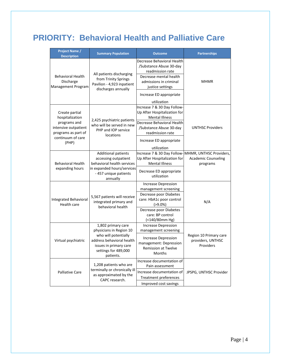## **PRIORITY: Behavioral Health and Palliative Care**

| Project Name /<br><b>Description</b>                                                                                           | <b>Summary Population</b>                                                                                                                                         | <b>Outcome</b>                                                                                                                                                                                                             | <b>Partnerships</b>                                               |
|--------------------------------------------------------------------------------------------------------------------------------|-------------------------------------------------------------------------------------------------------------------------------------------------------------------|----------------------------------------------------------------------------------------------------------------------------------------------------------------------------------------------------------------------------|-------------------------------------------------------------------|
| <b>Behavioral Health</b><br>Discharge<br>Management Program                                                                    | All patients discharging<br>from Trinity Springs<br>Pavilion - 4,923 inpatient<br>discharges annually                                                             | Decrease Behavioral Health<br>/Substance Abuse 30-day<br>readmission rate<br>Decrease mental health<br>admissions in criminal<br>justice settings<br>Increase ED appropriate                                               | <b>MHMR</b>                                                       |
| Create partial<br>hospitalization<br>programs and<br>intensive outpatient<br>programs as part of<br>continuum of care<br>(PHP) | 2,425 psychiatric patients<br>who will be served in new<br>PHP and IOP service<br>locations                                                                       | utilization<br>Increase 7 & 30 Day Follow-<br>Up After Hospitalization for<br><b>Mental Illness</b><br>Decrease Behavioral Health<br>/Substance Abuse 30-day<br>readmission rate<br>Increase ED appropriate<br>utilization | <b>UNTHSC Providers</b>                                           |
| <b>Behavioral Health</b><br>expanding hours                                                                                    | <b>Additional patients</b><br>accessing outpatient<br>behavioral health services<br>in expanded hours/services<br>- 457 unique patients<br>annually               | Increase 7 & 30 Day Follow-<br>Up After Hospitalization for<br><b>Mental Illness</b><br>Decrease ED appropriate<br>utilization                                                                                             | MHMR, UNTHSC Providers,<br><b>Academic Counseling</b><br>programs |
| <b>Integrated Behavioral</b><br>Health care                                                                                    | 5,567 patients will receive<br>integrated primary and<br>behavioral health                                                                                        | <b>Increase Depression</b><br>management screening<br>Decrease poor Diabetes<br>care: HbA1c poor control<br>$( > 9.0\%)$<br>Decrease poor Diabetes<br>care: BP control<br>(<140/80mm Hg)                                   | N/A                                                               |
| Virtual psychiatric                                                                                                            | 1,802 primary care<br>physicians in Region 10<br>who will potentially<br>address behavioral health<br>issues in primary care<br>settings for 489,000<br>patients. | <b>Increase Depression</b><br>management screening<br><b>Increase Depression</b><br>management: Depression<br><b>Remission at Twelve</b><br><b>Months</b>                                                                  | Region 10 Primary care<br>providers, UNTHSC<br>Providers          |
| <b>Palliative Care</b>                                                                                                         | 1,208 patients who are<br>terminally or chronically ill<br>as approximated by the<br>CAPC research.                                                               | Increase documentation of<br>Pain assessment<br>Increase documentation of<br><b>Treatment preferences</b><br>Improved cost savings                                                                                         | JPSPG, UNTHSC Provider                                            |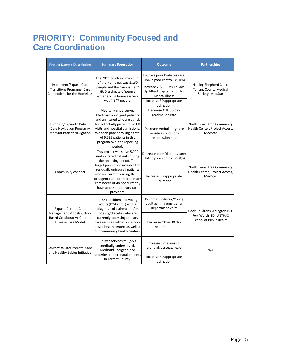### **PRIORITY: Community Focused and Care Coordination**

|                                                                                      | <b>Project Name / Description</b>                                                                                                                                                                                    | <b>Summary Population</b>                                                                                                                                                                                   | <b>Outcome</b>                                                                       | <b>Partnerships</b>                                                           |
|--------------------------------------------------------------------------------------|----------------------------------------------------------------------------------------------------------------------------------------------------------------------------------------------------------------------|-------------------------------------------------------------------------------------------------------------------------------------------------------------------------------------------------------------|--------------------------------------------------------------------------------------|-------------------------------------------------------------------------------|
|                                                                                      | The 2011 point-in-time count<br>of the Homeless was 2,169                                                                                                                                                            | Improve poor Diabetes care:<br>HbA1c poor control (>9.0%)                                                                                                                                                   |                                                                                      |                                                                               |
|                                                                                      | Implement/Expand Care<br><b>Transitions Programs- Care</b><br><b>Connections for the Homeless</b>                                                                                                                    | people and the "annualized"<br>HUD estimate of people<br>experiencing homelessness                                                                                                                          | Increase 7 & 30 Day Follow-<br>Up After Hospitalization for<br><b>Mental Illness</b> | Healing Shepherd Clinic,<br><b>Tarrant County Medical</b><br>Society, MedStar |
|                                                                                      |                                                                                                                                                                                                                      | was 4,847 people.                                                                                                                                                                                           | Increase ED appropriate<br>utilization                                               |                                                                               |
|                                                                                      |                                                                                                                                                                                                                      | Medically underserved<br>Medicaid & indigent patients                                                                                                                                                       | Decrease CHF 30-day<br>readmssion rate                                               |                                                                               |
|                                                                                      | Establish/Expand a Patient<br>Care Navigation Program-<br><b>MedStar Patient Navigation</b>                                                                                                                          | and uninsured who are at risk<br>for potentially preventable ED<br>visits and hospital admissions.<br>We anticipate enrolling a total<br>of 6,525 patients in this<br>program over the reporting<br>period. | Decrease Ambulatory care<br>sensitive conditions<br>readmission rate                 | North Texas Area Community<br>Health Center, Project Access,<br>MedStar       |
|                                                                                      |                                                                                                                                                                                                                      | This project will serve 5,000<br>unduplicated patients during<br>the reporting period. The                                                                                                                  | Decrease poor Diabetes care:<br>HbA1c poor control (>9.0%)                           |                                                                               |
| Community connect                                                                    | target population includes the<br>residually uninsured patients<br>who are currently using the ED<br>or urgent care for their primary<br>care needs or do not currently<br>have access to primary care<br>providers. | Increase ED appropriate<br>utilization                                                                                                                                                                      | North Texas Area Community<br>Health Center, Project Access,<br>MedStar              |                                                                               |
|                                                                                      | <b>Expand Chronic Care</b>                                                                                                                                                                                           | 1,584 children and young<br>adults (DY4 and 5) with a<br>diagnosis of asthma and/or                                                                                                                         | Decrease Pediatric/Young<br>adult asthma emergency<br>department visits              | Cook Childrens, Arlington ISD,                                                |
| Management Models-School<br><b>Based Collaborative Chronic</b><br>Disease Care Model | obesity/diabetes who are<br>currently accessing primary<br>care services within our school<br>based health centers as well as<br>our community health centers.                                                       | Decrease Other 30 day<br>readmit rate                                                                                                                                                                       | Fort Worth ISD, UNTHSC<br>School of Public Health                                    |                                                                               |
|                                                                                      | Journey to Life: Prenatal Care<br>and Healthy Babies Initiative                                                                                                                                                      | Deliver services to 6,959<br>medically underserved,<br>Medicaid, indigent, and                                                                                                                              | Increase Timeliness of<br>prenatal/postnatal care                                    | N/A                                                                           |
|                                                                                      |                                                                                                                                                                                                                      | underinsured prenatal patients<br>in Tarrant County.                                                                                                                                                        | Increase ED appropriate<br>utilization                                               |                                                                               |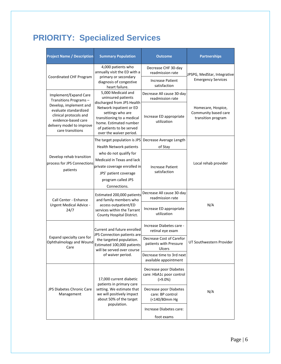## **PRIORITY: Specialized Services**

| <b>Project Name / Description</b>                                                                                                                 | <b>Summary Population</b>                                                                                                                                                                                                            | <b>Outcome</b>                                                      | <b>Partnerships</b>                                              |
|---------------------------------------------------------------------------------------------------------------------------------------------------|--------------------------------------------------------------------------------------------------------------------------------------------------------------------------------------------------------------------------------------|---------------------------------------------------------------------|------------------------------------------------------------------|
| Coordinated CHF Program                                                                                                                           | 4,000 patients who<br>annually visit the ED with a<br>primary or secondary                                                                                                                                                           | Decrease CHF 30-day<br>readmission rate                             | JPSPG, MedStar, Integrative                                      |
|                                                                                                                                                   | diagnosis of congestive<br>heart failure.                                                                                                                                                                                            | <b>Increase Patient</b><br>satisfaction                             | <b>Emergency Services</b>                                        |
| Implement/Expand Care<br>Transitions Programs-                                                                                                    | 5,000 Medicaid and<br>uninsured patients<br>discharged from JPS Health<br>Network inpatient or ED<br>settings who are<br>transitioning to a medical<br>home. Estimated number<br>of patients to be served<br>over the waiver period. | Decrease All cause 30-day<br>readmission rate                       |                                                                  |
| Develop, implement and<br>evaluate standardized<br>clinical protocols and<br>evidence-based care<br>delivery model to improve<br>care transitions |                                                                                                                                                                                                                                      | Increase ED appropriate<br>utilization                              | Homecare, Hospice,<br>Community based care<br>transition program |
|                                                                                                                                                   | The target population is JPS                                                                                                                                                                                                         | Decrease Average Length                                             |                                                                  |
|                                                                                                                                                   | <b>Health Network patients</b>                                                                                                                                                                                                       | of Stay                                                             |                                                                  |
| Develop rehab transition<br>process for JPS Connections<br>patients                                                                               | who do not qualify for<br>Medicaid in Texas and lack<br>private coverage enrolled in<br>JPS' patient coverage<br>program called JPS<br>Connections.                                                                                  | <b>Increase Patient</b><br>satisfaction                             | Local rehab provider                                             |
|                                                                                                                                                   | Estimated 200,000 patients<br>and family members who<br>access outpatient/ED<br>services within the Tarrant<br>County Hospital District.                                                                                             | Decrease All cause 30-day<br>readmission rate                       |                                                                  |
| Call Center - Enhance<br><b>Urgent Medical Advice -</b><br>24/7                                                                                   |                                                                                                                                                                                                                                      | Increase ED appropriate<br>utilization                              | N/A                                                              |
|                                                                                                                                                   | Current and future enrolled<br>JPS Connection patients are                                                                                                                                                                           | Increase Diabetes care -<br>retinal eye exam                        |                                                                  |
| Expand specialty care for<br>Ophthalmology and Wound<br>Care                                                                                      | the targeted population.<br>Estimated 100,000 patients<br>will be served over course<br>of waiver period.                                                                                                                            | Decrease Cost of Carefor<br>patients with Pressure<br><b>Ulcers</b> | UT Southwestern Provider                                         |
|                                                                                                                                                   |                                                                                                                                                                                                                                      | Decrease time to 3rd next<br>available appointment                  |                                                                  |
| <b>JPS Diabetes Chronic Care</b><br>Management                                                                                                    | 17,000 current diabetic<br>patients in primary care<br>setting. We estimate that<br>we will positively impact<br>about 50% of the target<br>population.                                                                              | Decrease poor Diabetes<br>care: HbA1c poor control<br>$( > 9.0\%)$  |                                                                  |
|                                                                                                                                                   |                                                                                                                                                                                                                                      | Decrease poor Diabetes<br>care: BP control<br>(<140/80mm Hg         | N/A                                                              |
|                                                                                                                                                   |                                                                                                                                                                                                                                      | Increase Diabetes care:                                             |                                                                  |
|                                                                                                                                                   |                                                                                                                                                                                                                                      | foot exams                                                          |                                                                  |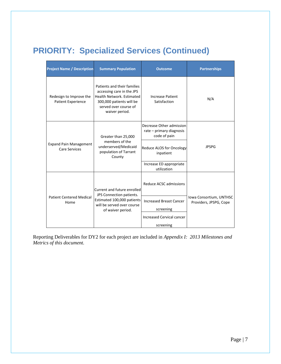## **PRIORITY: Specialized Services (Continued)**

| <b>Project Name / Description</b>                     | <b>Summary Population</b>                                                                                                                                    | <b>Outcome</b>                                                       | <b>Partnerships</b>                               |
|-------------------------------------------------------|--------------------------------------------------------------------------------------------------------------------------------------------------------------|----------------------------------------------------------------------|---------------------------------------------------|
| Redesign to Improve the<br>Patient Experience         | Patients and their families<br>accessing care in the JPS<br>Health Network, Estimated<br>300,000 patients will be<br>served over course of<br>waiver period. | <b>Increase Patient</b><br>Satisfaction                              | N/A                                               |
|                                                       | Greater than 25,000                                                                                                                                          | Decrease Other admission<br>rate - primary diagnosis<br>code of pain |                                                   |
| <b>Expand Pain Management</b><br><b>Care Services</b> | members of the<br>underserved/Medicaid<br>population of Tarrant<br>County                                                                                    | Reduce ALOS for Oncology<br>inpatient                                | <b>JPSPG</b>                                      |
|                                                       |                                                                                                                                                              | Increase ED appropriate<br>utilization                               |                                                   |
|                                                       | Current and future enrolled<br>JPS Connection patients.                                                                                                      | Reduce ACSC admissions                                               |                                                   |
| <b>Patient Centered Medical</b><br>Home               | Estimated 100,000 patients<br>will be served over course<br>of waiver period.                                                                                | <b>Increased Breast Cancer</b>                                       | Iowa Consortium, UNTHSC<br>Providers, JPSPG, Cope |
|                                                       |                                                                                                                                                              | screening                                                            |                                                   |
|                                                       |                                                                                                                                                              | Increased Cervical cancer                                            |                                                   |
|                                                       |                                                                                                                                                              | screening                                                            |                                                   |

Reporting Deliverables for DY2 for each project are included in *Appendix I: 2013 Milestones and Metrics of this document.*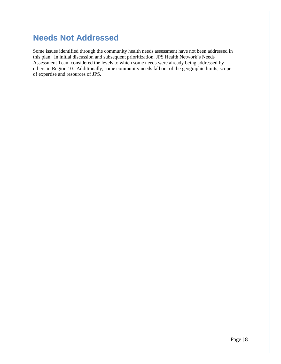#### **Needs Not Addressed**

Some issues identified through the community health needs assessment have not been addressed in this plan. In initial discussion and subsequent prioritization, JPS Health Network's Needs Assessment Team considered the levels to which some needs were already being addressed by others in Region 10. Additionally, some community needs fall out of the geographic limits, scope of expertise and resources of JPS.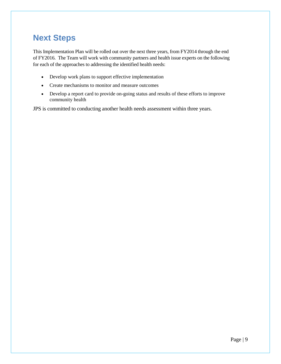#### **Next Steps**

This Implementation Plan will be rolled out over the next three years, from FY2014 through the end of FY2016. The Team will work with community partners and health issue experts on the following for each of the approaches to addressing the identified health needs:

- Develop work plans to support effective implementation
- Create mechanisms to monitor and measure outcomes
- Develop a report card to provide on-going status and results of these efforts to improve community health

JPS is committed to conducting another health needs assessment within three years.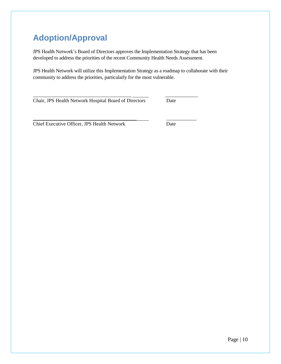## **Adoption/Approval**

JPS Health Network's Board of Directors approves the Implementation Strategy that has been developed to address the priorities of the recent Community Health Needs Assessment.

JPS Health Network will utilize this Implementation Strategy as a roadmap to collaborate with their community to address the priorities, particularly for the most vulnerable.

\_\_\_\_\_\_\_\_\_\_\_\_\_\_\_\_\_\_\_\_\_\_\_\_\_\_\_\_\_\_\_\_\_\_\_\_\_\_\_ \_\_\_\_\_\_\_\_\_\_\_\_\_ Chair, JPS Health Network Hospital Board of Directors Date

Chief Executive Officer, JPS Health Network Date

\_\_\_\_\_\_\_\_\_\_\_\_\_\_\_\_\_\_\_\_\_\_\_\_\_\_\_\_\_\_\_\_\_\_\_\_\_\_\_\_\_ \_\_\_\_\_\_\_\_\_\_\_\_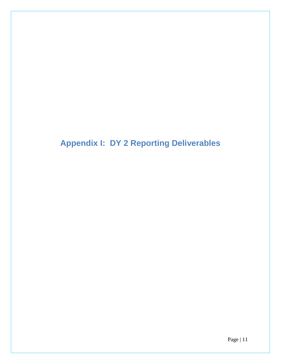**Appendix I: DY 2 Reporting Deliverables**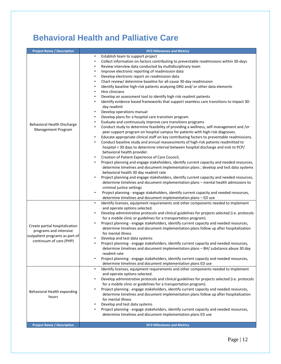## **Behavioral Health and Palliative Care**

| <b>Project Name / Description</b>                                                                                     | <b>DY2 Milestones and Metrics</b>                                                                                                                                                                                                                                                                                                                                                                                                                                                                                                                                                                                                                                                                                                                                                                                                                                                                                                                                                                                                                                                                                                                                                                                                                                                                                                                                                                                                                                                                                                                                                                                                                                                                                                                                                                                                                                                                                                                                                                                                                                                                                              |
|-----------------------------------------------------------------------------------------------------------------------|--------------------------------------------------------------------------------------------------------------------------------------------------------------------------------------------------------------------------------------------------------------------------------------------------------------------------------------------------------------------------------------------------------------------------------------------------------------------------------------------------------------------------------------------------------------------------------------------------------------------------------------------------------------------------------------------------------------------------------------------------------------------------------------------------------------------------------------------------------------------------------------------------------------------------------------------------------------------------------------------------------------------------------------------------------------------------------------------------------------------------------------------------------------------------------------------------------------------------------------------------------------------------------------------------------------------------------------------------------------------------------------------------------------------------------------------------------------------------------------------------------------------------------------------------------------------------------------------------------------------------------------------------------------------------------------------------------------------------------------------------------------------------------------------------------------------------------------------------------------------------------------------------------------------------------------------------------------------------------------------------------------------------------------------------------------------------------------------------------------------------------|
| Behavioral Health Discharge<br>Management Program                                                                     | Establish team to support project<br>٠<br>Collect information on factors contributing to preventable readmissions within 30-days<br>٠<br>Review interview data conducted by multidisciplinary team<br>٠<br>Improve electronic reporting of readmission data<br>٠<br>Develop electronic report on readmission data<br>$\bullet$<br>Chart review/ determine baseline for all-cause 30-day readmission<br>$\bullet$<br>Identify baseline high-risk patients analyzing DRG and/ or other data elements<br>٠<br>Hire clinicians<br>$\bullet$<br>Develop an assessment tool to identify high risk readmit patients<br>٠<br>Identify evidence based frameworks that support seamless care transitions to impact 30-<br>day readmit<br>Develop operations manual<br>٠<br>Develop plans for a hospital care transition program<br>$\bullet$<br>Evaluate and continuously improve care transitions programs<br>$\bullet$<br>Conduct study to determine feasibility of providing a wellness, self-management and /or<br>$\bullet$<br>peer support program on hospital campus for patients with high-risk diagnoses.<br>Educate appropriate clinical staff on key contributing factors to preventable readmissions.<br>$\bullet$<br>Conduct baseline study and annual reassessments of high-risk patients readmitted to<br>٠<br>hospital < 30 days to determine interval between hospital discharge and visit to PCP/<br>behavioral health provider.<br>Creation of Patient Experience of Care Council,<br>٠<br>Project planning and engage stakeholders, identify current capacity and needed resources,<br>determine timelines and document implementation plans; develop and test data systems<br>behavioral health 30 day readmit rate<br>Project planning and engage stakeholders, identify current capacity and needed resources,<br>$\bullet$<br>determine timelines and document implementation plans - mental health admissions to<br>criminal justice settings<br>Project planning - engage stakeholders, identify current capacity and needed resources,<br>٠<br>determine timelines and document implementation plans - ED use |
| Create partial hospitalization<br>programs and intensive<br>outpatient programs as part of<br>continuum of care (PHP) | Identify licenses, equipment requirements and other components needed to implement<br>$\bullet$<br>and operate options selected.<br>Develop administrative protocols and clinical guidelines for projects selected (i.e. protocols<br>٠<br>for a mobile clinic or guidelines for a transportation program).<br>Project planning - engage stakeholders, identify current capacity and needed resources,<br>determine timelines and document implementation plans follow up after hospitalization<br>for mental illness<br>Develop and test data systems<br>٠<br>Project planning - engage stakeholders, identify current capacity and needed resources,<br>$\bullet$<br>determine timelines and document implementation plans - BH/ substance abuse 30 day<br>readmit rate<br>Project planning - engage stakeholders, identify current capacity and needed resources,<br>$\bullet$<br>determine timelines and document implementation plans ED use                                                                                                                                                                                                                                                                                                                                                                                                                                                                                                                                                                                                                                                                                                                                                                                                                                                                                                                                                                                                                                                                                                                                                                              |
| Behavioral Health expanding<br>hours<br><b>Project Name / Description</b>                                             | Identify licenses, equipment requirements and other components needed to implement<br>٠<br>and operate options selected.<br>Develop administrative protocols and clinical guidelines for projects selected (i.e. protocols<br>$\bullet$<br>for a mobile clinic or guidelines for a transportation program).<br>Project planning - engage stakeholders, identify current capacity and needed resources,<br>٠<br>determine timelines and document implementation plans follow up after hospitalization<br>for mental illness<br>Develop and test data systems<br>٠<br>Project planning - engage stakeholders, identify current capacity and needed resources,<br>$\bullet$<br>determine timelines and document implementation plans ED use<br><b>DY2 Milestones and Metrics</b>                                                                                                                                                                                                                                                                                                                                                                                                                                                                                                                                                                                                                                                                                                                                                                                                                                                                                                                                                                                                                                                                                                                                                                                                                                                                                                                                                  |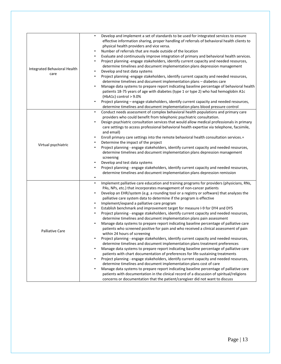| Integrated Behavioral Health<br>care | Develop and implement a set of standards to be used for integrated services to ensure<br>$\bullet$<br>effective information sharing, proper handling of referrals of behavioral health clients to<br>physical health providers and vice versa.<br>Number of referrals that are made outside of the location<br>٠<br>Evaluate and continuously improve integration of primary and behavioral health services.<br>$\bullet$<br>Project planning -engage stakeholders, identify current capacity and needed resources,<br>٠<br>determine timelines and document implementation plans depression management<br>Develop and test data systems<br>٠<br>Project planning -engage stakeholders, identify current capacity and needed resources,<br>٠<br>determine timelines and document implementation plans - diabetes care<br>Manage data systems to prepare report indicating baseline percentage of behavioral health<br>٠<br>patients 18-75 years of age with diabetes (type 1 or type 2) who had hemoglobin A1c<br>$(HbA1c)$ control > 9.0%<br>Project planning - engage stakeholders, identify current capacity and needed resources,<br>٠<br>determine timelines and document implementation plans blood pressure control                                                                                                                                                                                                                                                                                                                                                                                                                                                                                                         |
|--------------------------------------|------------------------------------------------------------------------------------------------------------------------------------------------------------------------------------------------------------------------------------------------------------------------------------------------------------------------------------------------------------------------------------------------------------------------------------------------------------------------------------------------------------------------------------------------------------------------------------------------------------------------------------------------------------------------------------------------------------------------------------------------------------------------------------------------------------------------------------------------------------------------------------------------------------------------------------------------------------------------------------------------------------------------------------------------------------------------------------------------------------------------------------------------------------------------------------------------------------------------------------------------------------------------------------------------------------------------------------------------------------------------------------------------------------------------------------------------------------------------------------------------------------------------------------------------------------------------------------------------------------------------------------------------------------------------------------------------------------------------------------|
| Virtual psychiatric                  | Conduct needs assessment of complex behavioral health populations and primary care<br>$\bullet$<br>providers who could benefit from telephonic psychiatric consultation.<br>Design psychiatric consultation services that would allow medical professionals in primary<br>٠<br>care settings to access professional behavioral health expertise via telephone, facsimile,<br>and email)<br>Enroll primary care settings into the remote behavioral health consultation services.=<br>Determine the impact of the project<br>$\bullet$<br>Project planning - engage stakeholders, identify current capacity and needed resources,<br>determine timelines and document implementation plans depression management<br>screening<br>Develop and test data systems<br>$\bullet$<br>Project planning - engage stakeholders, identify current capacity and needed resources,<br>٠<br>determine timelines and document implementation plans depression remission                                                                                                                                                                                                                                                                                                                                                                                                                                                                                                                                                                                                                                                                                                                                                                           |
| <b>Palliative Care</b>               | Implement palliative care education and training programs for providers (physicians, RNs,<br>$\bullet$<br>PAs, NPs, etc.) that incorporates management of non-cancer patients<br>Develop an EHR/system (e.g. a rounding tool or a registry or software) that analyzes the<br>٠<br>palliative care system data to determine if the program is effective<br>Implement/expand a palliative care program<br>٠<br>Establish benchmark and improvement target for measure I-9 for DY4 and DY5<br>٠<br>Project planning - engage stakeholders, identify current capacity and needed resources,<br>determine timelines and document implementation plans pain assessment<br>Manage data systems to prepare report indicating baseline percentage of palliative care<br>$\bullet$<br>patients who screened positive for pain and who received a clinical assessment of pain<br>within 24 hours of screening<br>Project planning - engage stakeholders, identify current capacity and needed resources,<br>determine timelines and document implementation plans treatment preferences<br>Manage data systems to prepare report indicating baseline percentage of palliative care<br>٠<br>patients with chart documentation of preferences for life-sustaining treatments<br>Project planning - engage stakeholders, identify current capacity and needed resources,<br>$\bullet$<br>determine timelines and document implementation plans cost of care<br>Manage data systems to prepare report indicating baseline percentage of palliative care<br>$\bullet$<br>patients with documentation in the clinical record of a discussion of spiritual/religions<br>concerns or documentation that the patient/caregiver did not want to discuss |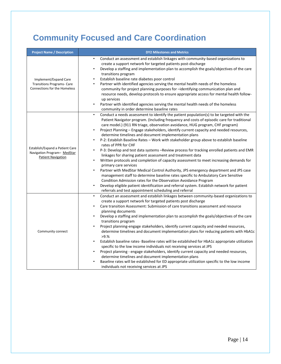## **Community Focused and Care Coordination**

| <b>Project Name / Description</b>                                                                 | <b>DY2 Milestones and Metrics</b>                                                                                                                                                                                                                                                                                                                                                                                                                                                                                                                                                                                                                                                                                                                                                                                                                                                                                                                                                                                                                                                                                                                                                                                                                                                          |
|---------------------------------------------------------------------------------------------------|--------------------------------------------------------------------------------------------------------------------------------------------------------------------------------------------------------------------------------------------------------------------------------------------------------------------------------------------------------------------------------------------------------------------------------------------------------------------------------------------------------------------------------------------------------------------------------------------------------------------------------------------------------------------------------------------------------------------------------------------------------------------------------------------------------------------------------------------------------------------------------------------------------------------------------------------------------------------------------------------------------------------------------------------------------------------------------------------------------------------------------------------------------------------------------------------------------------------------------------------------------------------------------------------|
| Implement/Expand Care<br><b>Transitions Programs- Care</b><br><b>Connections for the Homeless</b> | Conduct an assessment and establish linkages with community-based organizations to<br>create a support network for targeted patients post-discharge<br>Develop a staffing and implementation plan to accomplish the goals/objectives of the care<br>$\bullet$<br>transitions program<br>Establish baseline rate diabetes poor control<br>$\bullet$<br>Partner with identified agencies serving the mental health needs of the homeless<br>$\bullet$<br>community for project planning purposes for -identifying communication plan and<br>resource needs, develop protocols to ensure appropriate access for mental health follow-<br>up services<br>Partner with identified agencies serving the mental health needs of the homeless<br>community in order determine baseline rates                                                                                                                                                                                                                                                                                                                                                                                                                                                                                                       |
| Establish/Expand a Patient Care<br>Navigation Program- MedStar<br><b>Patient Navigation</b>       | Conduct a needs assessment to identify the patient population(s) to be targeted with the<br>$\bullet$<br>Patient Navigator program. (Including frequency and costs of episodic care for traditional<br>care model.) (911 RN triage, observation avoidance, HUG program, CHF program)<br>Project Planning - Engage stakeholders, identify current capacity and needed resources,<br>$\bullet$<br>determine timelines and document implementation plans<br>P-2: Establish Baseline Rates - Work with stakeholder group above to establish baseline<br>$\bullet$<br>rates of PPR for CHF<br>P-3: Develop and test data systems -Review process for tracking enrolled patients and EMR<br>linkages for sharing patient assessment and treatment data<br>Written protocols and completion of capacity assessment to meet increasing demands for<br>primary care services<br>Partner with MedStar Medical Control Authority, JPS emergency department and JPS case<br>management staff to determine baseline rates specific to Ambulatory Care Sensitive<br>Condition Admission rates for the Observation Avoidance Program<br>Develop eligible patient identification and referral system. Establish network for patient<br>$\bullet$<br>referrals and test appointment scheduling and referral |
| Community connect                                                                                 | Conduct an assessment and establish linkages between community-based organizations to<br>$\bullet$<br>create a support network for targeted patients post discharge<br>Care transition Assessment: Submission of care transitions assessment and resource<br>$\bullet$<br>planning documents<br>Develop a staffing and implementation plan to accomplish the goals/objectives of the care<br>٠<br>transitions program<br>Project planning-engage stakeholders, identify current capacity and needed resources,<br>$\bullet$<br>determine timelines and document implementation plans for reducing patients with HbA1c<br>>9.%<br>Establish baseline rates- Baseline rates will be established for HbA1c appropriate utilization<br>$\bullet$<br>specific to the low income individuals not receiving services at JPS<br>Project planning - engage stakeholders, identify current capacity and needed resources,<br>$\bullet$<br>determine timelines and document implementation plans<br>Baseline rates will be established for ED appropriate utilization specific to the low income<br>individuals not receiving services at JPS                                                                                                                                                         |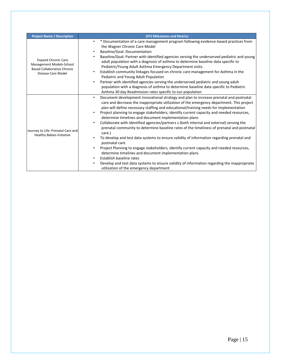| <b>Project Name / Description</b>                                                                                  | <b>DY2 Milestones and Metrics</b>                                                                                                                                                                                                                                                                                                                                                                                                                                                                                                                                                                                                                                                                                                                                                                                                                                                                                                                                                                                                                                                                                      |  |
|--------------------------------------------------------------------------------------------------------------------|------------------------------------------------------------------------------------------------------------------------------------------------------------------------------------------------------------------------------------------------------------------------------------------------------------------------------------------------------------------------------------------------------------------------------------------------------------------------------------------------------------------------------------------------------------------------------------------------------------------------------------------------------------------------------------------------------------------------------------------------------------------------------------------------------------------------------------------------------------------------------------------------------------------------------------------------------------------------------------------------------------------------------------------------------------------------------------------------------------------------|--|
| <b>Expand Chronic Care</b><br>Management Models-School<br><b>Based Collaborative Chronic</b><br>Disease Care Model | * Documentation of a care management program following evidence-based practices from<br>the Wagner Chronic Care Model<br>Baseline/Goal: Documentation<br>$\bullet$<br>Baseline/Goal: Partner with identified agencies serving the underserved pediatric and young<br>adult population with a diagnosis of asthma to determine baseline data specific to<br>Pediatric/Young Adult Asthma Emergency Department visits.<br>Establish community linkages focused on chronic care management for Asthma in the<br>$\bullet$<br>Pediatric and Young Adult Population<br>Partner with identified agencies serving the underserved pediatric and young adult<br>$\bullet$<br>population with a diagnosis of asthma to determine baseline data specific to Pediatric<br>Asthma 30 day Readmission rates specific to our population                                                                                                                                                                                                                                                                                              |  |
| Journey to Life: Prenatal Care and<br><b>Healthy Babies Initiative</b>                                             | Document development innovational strategy and plan to increase prenatal and postnatal<br>care and decrease the inappropriate utilization of the emergency department. This project<br>plan will define necessary staffing and educational/training needs for implementation<br>Project planning to engage stakeholders, identify current capacity and needed resources,<br>determine timelines and document implementation plans<br>Collaborate with identified agencies/partners s (both internal and external) serving the<br>$\bullet$<br>prenatal community to determine baseline rates of the timeliness of prenatal and postnatal<br>care.)<br>To develop and test data systems to ensure validity of information regarding prenatal and<br>postnatal care<br>Project Planning to engage stakeholders, identify current capacity and needed resources,<br>determine timelines and document implementation plans<br>Establish baseline rates<br>$\bullet$<br>Develop and test data systems to ensure validity of information regarding the inappropriate<br>$\bullet$<br>utilization of the emergency department |  |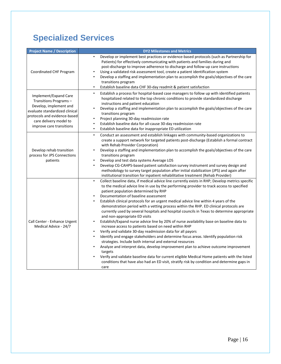## **Specialized Services**

| <b>Project Name / Description</b>                                                                                                                                                                | <b>DY2 Milestones and Metrics</b>                                                                                                                                                                                                                                                                                                                                                                                                                                                                                                                                                                                                                                                                                                                                                                                                                                                                                                                                                                                                                                                                                                                                                                                                                                                                                   |
|--------------------------------------------------------------------------------------------------------------------------------------------------------------------------------------------------|---------------------------------------------------------------------------------------------------------------------------------------------------------------------------------------------------------------------------------------------------------------------------------------------------------------------------------------------------------------------------------------------------------------------------------------------------------------------------------------------------------------------------------------------------------------------------------------------------------------------------------------------------------------------------------------------------------------------------------------------------------------------------------------------------------------------------------------------------------------------------------------------------------------------------------------------------------------------------------------------------------------------------------------------------------------------------------------------------------------------------------------------------------------------------------------------------------------------------------------------------------------------------------------------------------------------|
| Coordinated CHF Program                                                                                                                                                                          | Develop or implement best practices or evidence-based protocols (such as Partnership for<br>۰<br>Patients) for effectively communicating with patients and families during and<br>post-discharge to improve adherence to discharge and follow-up care instructions<br>Using a validated risk assessment tool, create a patient identification system<br>Develop a staffing and implementation plan to accomplish the goals/objectives of the care<br>transitions program<br>Establish baseline data CHF 30-day readmit & patient satisfaction<br>$\bullet$                                                                                                                                                                                                                                                                                                                                                                                                                                                                                                                                                                                                                                                                                                                                                          |
| Implement/Expand Care<br>Transitions Programs-<br>Develop, implement and<br>evaluate standardized clinical<br>protocols and evidence-based<br>care delivery model to<br>improve care transitions | Establish a process for hospital-based case managers to follow up with identified patients<br>$\bullet$<br>hospitalized related to the top chronic conditions to provide standardized discharge<br>instructions and patient education<br>Develop a staffing and implementation plan to accomplish the goals/objectives of the care<br>transitions program<br>Project planning 30-day readmission rate<br>Establish baseline data for all-cause 30-day readmission rate<br>٠<br>Establish baseline data for inappropriate ED utilization<br>$\bullet$                                                                                                                                                                                                                                                                                                                                                                                                                                                                                                                                                                                                                                                                                                                                                                |
| Develop rehab transition<br>process for JPS Connections<br>patients                                                                                                                              | Conduct an assessment and establish linkages with community-based organizations to<br>$\bullet$<br>create a support network for targeted patients post-discharge (Establish a formal contract<br>with Rehab Provider Corporation)<br>Develop a staffing and implementation plan to accomplish the goals/objectives of the care<br>٠<br>transitions program<br>Develop and test data systems Average LOS<br>Develop CG-CAHPS-based patient satisfaction survey instrument and survey design and<br>٠<br>methodology to survey target population after initial stabilization (JPS) and again after<br>institutional transition for inpatient rehabilitative treatment (Rehab Provider)                                                                                                                                                                                                                                                                                                                                                                                                                                                                                                                                                                                                                                |
| Call Center - Enhance Urgent<br>Medical Advice - 24/7                                                                                                                                            | Collect baseline data, if medical advice line currently exists in RHP; Develop metrics specific<br>$\bullet$<br>to the medical advice line in use by the performing provider to track access to specified<br>patient population determined by RHP<br>Documentation of baseline assessment<br>Establish clinical protocols for an urgent medical advice line within 4 years of the<br>demonstration period with a vetting process within the RHP. ED clinical protocols are<br>currently used by several hospitals and hospital councils in Texas to determine appropriate<br>and non-appropriate ED visits<br>Establish/Expand nurse advice line by 20% of nurse availability base on baseline data to<br>$\bullet$<br>increase access to patients based on need within RHP<br>Verify and validate 30-day readmission data for all payors<br>Identify and engage stakeholders and determine focus areas. Identify population risk<br>$\bullet$<br>strategies. Include both internal and external resources<br>Analyze and interpret data, develop improvement plan to achieve outcome improvement<br>targets<br>Verify and validate baseline data for current eligible Medical Home patients with the listed<br>conditions that have also had an ED visit, stratify risk by condition and determine gaps in<br>care |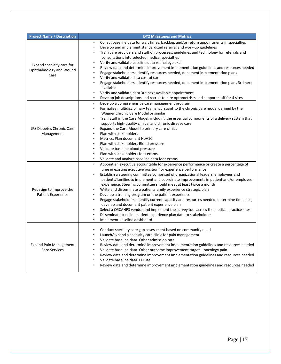| <b>Project Name / Description</b>                            | <b>DY2 Milestones and Metrics</b>                                                                                                                                                                                                                                                                                                                                                                                                                                                                                                                                                                                                                                                                                                                                                                                                                                                                                                                                   |
|--------------------------------------------------------------|---------------------------------------------------------------------------------------------------------------------------------------------------------------------------------------------------------------------------------------------------------------------------------------------------------------------------------------------------------------------------------------------------------------------------------------------------------------------------------------------------------------------------------------------------------------------------------------------------------------------------------------------------------------------------------------------------------------------------------------------------------------------------------------------------------------------------------------------------------------------------------------------------------------------------------------------------------------------|
| Expand specialty care for<br>Ophthalmology and Wound<br>Care | Collect baseline data for wait times, backlog, and/or return appointments in specialties<br>٠<br>Develop and implement standardized referral and work-up guidelines<br>$\bullet$<br>Train care providers and staff on processes, guidelines and technology for referrals and<br>$\bullet$<br>consultations into selected medical specialties<br>Verify and validate baseline data retinal eye exam<br>$\bullet$<br>Review data and determine improvement implementation guidelines and resources needed<br>Engage stakeholders, identify resources needed, document implementation plans<br>$\bullet$<br>Verify and validate data cost of care<br>$\bullet$<br>Engage stakeholders, identify resources needed, document implementation plans 3rd next<br>available<br>Verify and validate data 3rd next available appointment<br>$\bullet$<br>Develop job descriptions and recruit to hire optometrists and support staff for 4 sites<br>$\bullet$                  |
| JPS Diabetes Chronic Care<br>Management                      | Develop a comprehensive care management program<br>$\bullet$<br>Formalize multidisciplinary teams, pursuant to the chronic care model defined by the<br>$\bullet$<br>Wagner Chronic Care Model or similar<br>Train Staff in the Care Model, including the essential components of a delivery system that<br>supports high-quality clinical and chronic disease care<br>Expand the Care Model to primary care clinics<br>Plan with stakeholders<br>Metrics: Plan document HbA1C<br>$\bullet$<br>Plan with stakeholders Blood pressure<br>Validate baseline blood pressure<br>$\bullet$<br>Plan with stakeholders foot exams<br>$\bullet$<br>Validate and analyze baseline data foot exams                                                                                                                                                                                                                                                                            |
| Redesign to Improve the<br>Patient Experience                | Appoint an executive accountable for experience performance or create a percentage of<br>$\bullet$<br>time in existing executive position for experience performance<br>Establish a steering committee comprised of organizational leaders, employees and<br>$\bullet$<br>patients/families to implement and coordinate improvements in patient and/or employee<br>experience. Steering committee should meet at least twice a month<br>Write and disseminate a patient/family experience strategic plan<br>$\bullet$<br>Develop a training program on the patient experience<br>$\bullet$<br>Engage stakeholders, identify current capacity and resources needed, determine timelines,<br>$\bullet$<br>develop and document patient experience plan<br>Select a CGCAHPS vendor and implement the survey tool across the medical practice sites.<br>$\bullet$<br>Disseminate baseline patient experience plan data to stakeholders.<br>Implement baseline dashboard |
| <b>Expand Pain Management</b><br><b>Care Services</b>        | Conduct specialty care gap assessment based on community need<br>$\bullet$<br>Launch/expand a specialty care clinic for pain management<br>$\bullet$<br>Validate baseline data. Other admission rate<br>$\bullet$<br>Review data and determine improvement implementation guidelines and resources needed<br>$\bullet$<br>Validate baseline data. Other outcome improvement target - oncology pain<br>$\bullet$<br>Review data and determine improvement implementation guidelines and resources needed.<br>$\bullet$<br>Validate baseline data. ED use<br>Review data and determine improvement implementation guidelines and resources needed                                                                                                                                                                                                                                                                                                                     |